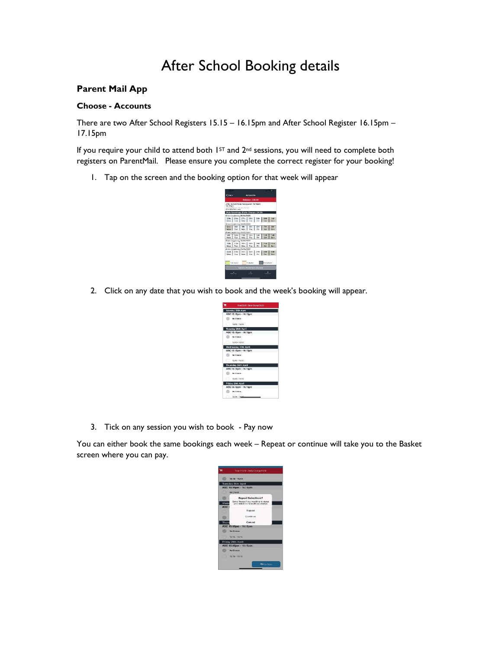# After School Booking details

# Parent Mail App

## Choose - Accounts

There are two After School Registers 15.15 – 16.15pm and After School Register 16.15pm – 17.15pm

If you require your child to attend both  $1<sup>ST</sup>$  and  $2<sup>nd</sup>$  sessions, you will need to complete both registers on ParentMail. Please ensure you complete the correct register for your booking!

1. Tap on the screen and the booking option for that week will appear



2. Click on any date that you wish to book and the week's booking will appear.

| Total EB.80 - Daily Charge E4.60 |  |
|----------------------------------|--|
| Monday 25th April                |  |
| ASC 15.15pm - 16.15pm            |  |
| No Choice                        |  |
| $15:15 - 16:15$                  |  |
| Tuesday 26th April               |  |
| ASC 15.16pm - 16.15pm            |  |
| No Choice                        |  |
| 10:15 - 10:15                    |  |
| Wednesday 27th April             |  |
| ASC 15.15pm - 16.15pm            |  |
| No Chrice                        |  |
| 15:15 - 16:15                    |  |
| Thuroday 28th April              |  |
| ASC 15.15pm - 16.15pm            |  |
| No Chrien                        |  |
| 1515.1615                        |  |
| Friday 29th April                |  |
| ASC 15.15pm - 16.15pm            |  |
| No Choice                        |  |
| 15:15 - 16ddie                   |  |

3. Tick on any session you wish to book - Pay now

You can either book the same bookings each week – Repeat or continue will take you to the Basket screen where you can pay.

|                          | $15:15 - 16:15$                                                                   |
|--------------------------|-----------------------------------------------------------------------------------|
|                          | <b>Tuesday 26th April</b>                                                         |
|                          | ASC 15.15pm - 16.15pm                                                             |
|                          | No Choice                                                                         |
|                          | <b>Repeat Selections?</b>                                                         |
| Wedr<br>ASC <sub>1</sub> | Select Repeat if you would like to repeat<br>way welections for acaliticate weeks |
|                          | Ropeat                                                                            |
|                          | Continuo                                                                          |
| Thurs                    | Cancel                                                                            |
|                          | ASC 15.15pm - 16.15pm                                                             |
|                          | No Christe                                                                        |
|                          | 15:15 - 16:15                                                                     |
|                          | Friday 29th April                                                                 |
|                          | ASC 15.15pm - 16.15pm                                                             |
|                          | No Choice                                                                         |
|                          | 15/15 - 16/15                                                                     |